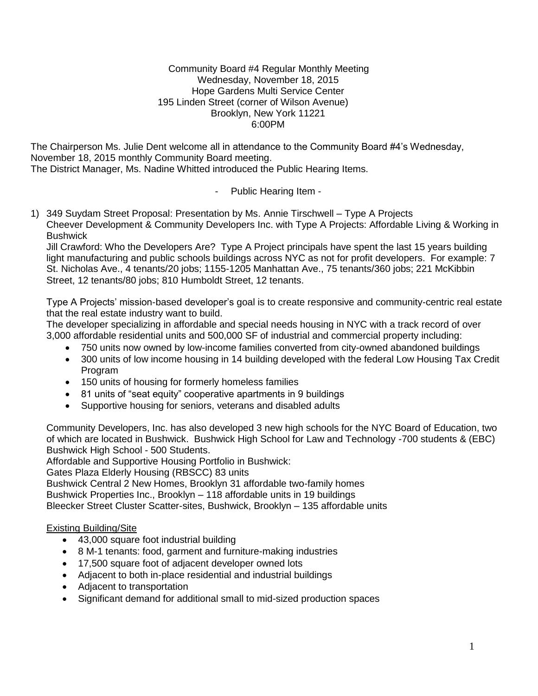#### Community Board #4 Regular Monthly Meeting Wednesday, November 18, 2015 Hope Gardens Multi Service Center 195 Linden Street (corner of Wilson Avenue) Brooklyn, New York 11221 6:00PM

The Chairperson Ms. Julie Dent welcome all in attendance to the Community Board #4's Wednesday, November 18, 2015 monthly Community Board meeting. The District Manager, Ms. Nadine Whitted introduced the Public Hearing Items.

- Public Hearing Item -

1) 349 Suydam Street Proposal: Presentation by Ms. Annie Tirschwell – Type A Projects Cheever Development & Community Developers Inc. with Type A Projects: Affordable Living & Working in **Bushwick** 

Jill Crawford: Who the Developers Are? Type A Project principals have spent the last 15 years building light manufacturing and public schools buildings across NYC as not for profit developers. For example: 7 St. Nicholas Ave., 4 tenants/20 jobs; 1155-1205 Manhattan Ave., 75 tenants/360 jobs; 221 McKibbin Street, 12 tenants/80 jobs; 810 Humboldt Street, 12 tenants.

Type A Projects' mission-based developer's goal is to create responsive and community-centric real estate that the real estate industry want to build.

The developer specializing in affordable and special needs housing in NYC with a track record of over 3,000 affordable residential units and 500,000 SF of industrial and commercial property including:

- 750 units now owned by low-income families converted from city-owned abandoned buildings
- 300 units of low income housing in 14 building developed with the federal Low Housing Tax Credit Program
- 150 units of housing for formerly homeless families
- 81 units of "seat equity" cooperative apartments in 9 buildings
- Supportive housing for seniors, veterans and disabled adults

Community Developers, Inc. has also developed 3 new high schools for the NYC Board of Education, two of which are located in Bushwick. Bushwick High School for Law and Technology -700 students & (EBC) Bushwick High School - 500 Students.

Affordable and Supportive Housing Portfolio in Bushwick:

Gates Plaza Elderly Housing (RBSCC) 83 units

Bushwick Central 2 New Homes, Brooklyn 31 affordable two-family homes

Bushwick Properties Inc., Brooklyn – 118 affordable units in 19 buildings

Bleecker Street Cluster Scatter-sites, Bushwick, Brooklyn – 135 affordable units

### Existing Building/Site

- 43,000 square foot industrial building
- 8 M-1 tenants: food, garment and furniture-making industries
- 17,500 square foot of adjacent developer owned lots
- Adjacent to both in-place residential and industrial buildings
- Adjacent to transportation
- Significant demand for additional small to mid-sized production spaces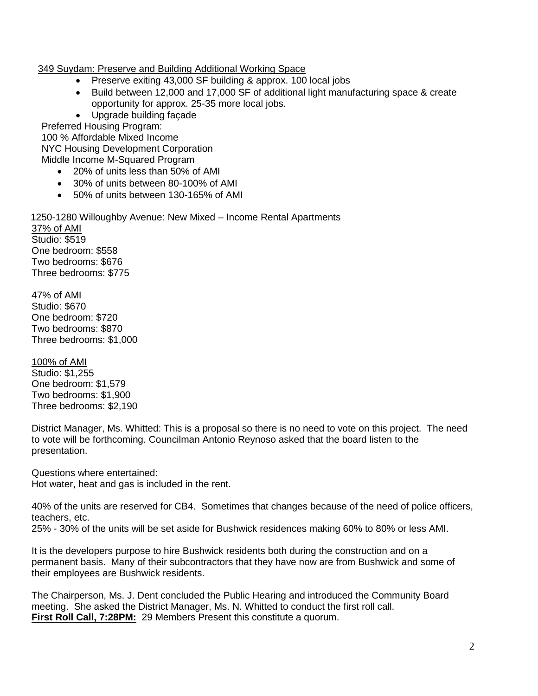# 349 Suydam: Preserve and Building Additional Working Space

- Preserve exiting 43,000 SF building & approx. 100 local jobs
- Build between 12,000 and 17,000 SF of additional light manufacturing space & create opportunity for approx. 25-35 more local jobs.
- Upgrade building façade

 Preferred Housing Program: 100 % Affordable Mixed Income NYC Housing Development Corporation

Middle Income M-Squared Program

- 20% of units less than 50% of AMI
- 30% of units between 80-100% of AMI
- 50% of units between 130-165% of AMI

1250-1280 Willoughby Avenue: New Mixed – Income Rental Apartments 37% of AMI Studio: \$519

One bedroom: \$558 Two bedrooms: \$676 Three bedrooms: \$775

47% of AMI Studio: \$670 One bedroom: \$720 Two bedrooms: \$870 Three bedrooms: \$1,000

100% of AMI Studio: \$1,255 One bedroom: \$1,579 Two bedrooms: \$1,900 Three bedrooms: \$2,190

District Manager, Ms. Whitted: This is a proposal so there is no need to vote on this project. The need to vote will be forthcoming. Councilman Antonio Reynoso asked that the board listen to the presentation.

Questions where entertained: Hot water, heat and gas is included in the rent.

40% of the units are reserved for CB4. Sometimes that changes because of the need of police officers, teachers, etc.

25% - 30% of the units will be set aside for Bushwick residences making 60% to 80% or less AMI.

It is the developers purpose to hire Bushwick residents both during the construction and on a permanent basis. Many of their subcontractors that they have now are from Bushwick and some of their employees are Bushwick residents.

The Chairperson, Ms. J. Dent concluded the Public Hearing and introduced the Community Board meeting. She asked the District Manager, Ms. N. Whitted to conduct the first roll call. **First Roll Call, 7:28PM:** 29 Members Present this constitute a quorum.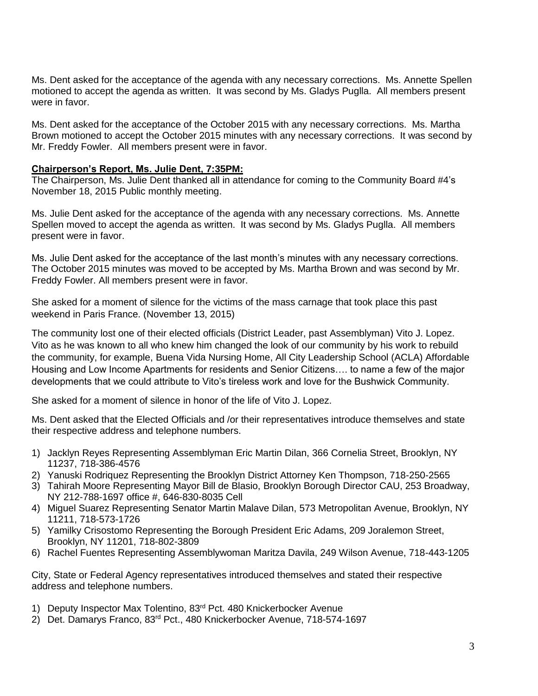Ms. Dent asked for the acceptance of the agenda with any necessary corrections. Ms. Annette Spellen motioned to accept the agenda as written. It was second by Ms. Gladys Puglla. All members present were in favor.

Ms. Dent asked for the acceptance of the October 2015 with any necessary corrections. Ms. Martha Brown motioned to accept the October 2015 minutes with any necessary corrections. It was second by Mr. Freddy Fowler. All members present were in favor.

#### **Chairperson's Report, Ms. Julie Dent, 7:35PM:**

The Chairperson, Ms. Julie Dent thanked all in attendance for coming to the Community Board #4's November 18, 2015 Public monthly meeting.

Ms. Julie Dent asked for the acceptance of the agenda with any necessary corrections. Ms. Annette Spellen moved to accept the agenda as written. It was second by Ms. Gladys Puglla. All members present were in favor.

Ms. Julie Dent asked for the acceptance of the last month's minutes with any necessary corrections. The October 2015 minutes was moved to be accepted by Ms. Martha Brown and was second by Mr. Freddy Fowler. All members present were in favor.

She asked for a moment of silence for the victims of the mass carnage that took place this past weekend in Paris France. (November 13, 2015)

The community lost one of their elected officials (District Leader, past Assemblyman) Vito J. Lopez. Vito as he was known to all who knew him changed the look of our community by his work to rebuild the community, for example, Buena Vida Nursing Home, All City Leadership School (ACLA) Affordable Housing and Low Income Apartments for residents and Senior Citizens…. to name a few of the major developments that we could attribute to Vito's tireless work and love for the Bushwick Community.

She asked for a moment of silence in honor of the life of Vito J. Lopez.

Ms. Dent asked that the Elected Officials and /or their representatives introduce themselves and state their respective address and telephone numbers.

- 1) Jacklyn Reyes Representing Assemblyman Eric Martin Dilan, 366 Cornelia Street, Brooklyn, NY 11237, 718-386-4576
- 2) Yanuski Rodriquez Representing the Brooklyn District Attorney Ken Thompson, 718-250-2565
- 3) Tahirah Moore Representing Mayor Bill de Blasio, Brooklyn Borough Director CAU, 253 Broadway, NY 212-788-1697 office #, 646-830-8035 Cell
- 4) Miguel Suarez Representing Senator Martin Malave Dilan, 573 Metropolitan Avenue, Brooklyn, NY 11211, 718-573-1726
- 5) Yamilky Crisostomo Representing the Borough President Eric Adams, 209 Joralemon Street, Brooklyn, NY 11201, 718-802-3809
- 6) Rachel Fuentes Representing Assemblywoman Maritza Davila, 249 Wilson Avenue, 718-443-1205

City, State or Federal Agency representatives introduced themselves and stated their respective address and telephone numbers.

- 1) Deputy Inspector Max Tolentino, 83<sup>rd</sup> Pct. 480 Knickerbocker Avenue
- 2) Det. Damarys Franco, 83rd Pct., 480 Knickerbocker Avenue, 718-574-1697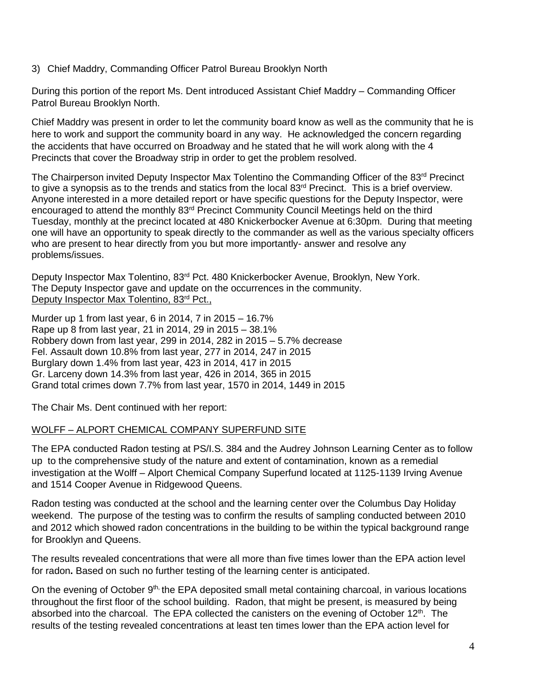3) Chief Maddry, Commanding Officer Patrol Bureau Brooklyn North

During this portion of the report Ms. Dent introduced Assistant Chief Maddry – Commanding Officer Patrol Bureau Brooklyn North.

Chief Maddry was present in order to let the community board know as well as the community that he is here to work and support the community board in any way. He acknowledged the concern regarding the accidents that have occurred on Broadway and he stated that he will work along with the 4 Precincts that cover the Broadway strip in order to get the problem resolved.

The Chairperson invited Deputy Inspector Max Tolentino the Commanding Officer of the 83<sup>rd</sup> Precinct to give a synopsis as to the trends and statics from the local 83<sup>rd</sup> Precinct. This is a brief overview. Anyone interested in a more detailed report or have specific questions for the Deputy Inspector, were encouraged to attend the monthly 83<sup>rd</sup> Precinct Community Council Meetings held on the third Tuesday, monthly at the precinct located at 480 Knickerbocker Avenue at 6:30pm. During that meeting one will have an opportunity to speak directly to the commander as well as the various specialty officers who are present to hear directly from you but more importantly- answer and resolve any problems/issues.

Deputy Inspector Max Tolentino, 83<sup>rd</sup> Pct. 480 Knickerbocker Avenue, Brooklyn, New York. The Deputy Inspector gave and update on the occurrences in the community. Deputy Inspector Max Tolentino, 83rd Pct.,

Murder up 1 from last year, 6 in 2014, 7 in 2015 – 16.7% Rape up 8 from last year, 21 in 2014, 29 in 2015 – 38.1% Robbery down from last year, 299 in 2014, 282 in 2015 – 5.7% decrease Fel. Assault down 10.8% from last year, 277 in 2014, 247 in 2015 Burglary down 1.4% from last year, 423 in 2014, 417 in 2015 Gr. Larceny down 14.3% from last year, 426 in 2014, 365 in 2015 Grand total crimes down 7.7% from last year, 1570 in 2014, 1449 in 2015

The Chair Ms. Dent continued with her report:

# WOLFF – ALPORT CHEMICAL COMPANY SUPERFUND SITE

The EPA conducted Radon testing at PS/I.S. 384 and the Audrey Johnson Learning Center as to follow up to the comprehensive study of the nature and extent of contamination, known as a remedial investigation at the Wolff – Alport Chemical Company Superfund located at 1125-1139 Irving Avenue and 1514 Cooper Avenue in Ridgewood Queens.

Radon testing was conducted at the school and the learning center over the Columbus Day Holiday weekend. The purpose of the testing was to confirm the results of sampling conducted between 2010 and 2012 which showed radon concentrations in the building to be within the typical background range for Brooklyn and Queens.

The results revealed concentrations that were all more than five times lower than the EPA action level for radon**.** Based on such no further testing of the learning center is anticipated.

On the evening of October 9<sup>th,</sup> the EPA deposited small metal containing charcoal, in various locations throughout the first floor of the school building. Radon, that might be present, is measured by being absorbed into the charcoal. The EPA collected the canisters on the evening of October  $12<sup>th</sup>$ . The results of the testing revealed concentrations at least ten times lower than the EPA action level for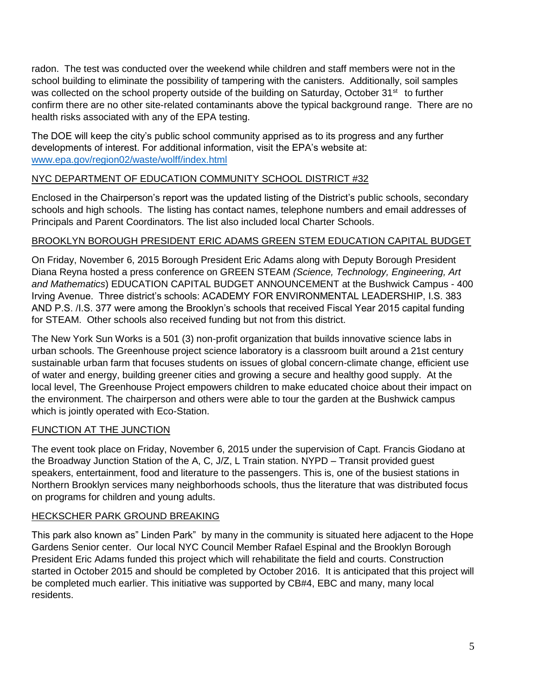radon. The test was conducted over the weekend while children and staff members were not in the school building to eliminate the possibility of tampering with the canisters. Additionally, soil samples was collected on the school property outside of the building on Saturday, October 31<sup>st</sup> to further confirm there are no other site-related contaminants above the typical background range. There are no health risks associated with any of the EPA testing.

The DOE will keep the city's public school community apprised as to its progress and any further developments of interest. For additional information, visit the EPA's website at: [www.epa.gov/region02/waste/wolff/index.html](http://www.epa.gov/region02/waste/wolff/index.html) 

# NYC DEPARTMENT OF EDUCATION COMMUNITY SCHOOL DISTRICT #32

Enclosed in the Chairperson's report was the updated listing of the District's public schools, secondary schools and high schools. The listing has contact names, telephone numbers and email addresses of Principals and Parent Coordinators. The list also included local Charter Schools.

# BROOKLYN BOROUGH PRESIDENT ERIC ADAMS GREEN STEM EDUCATION CAPITAL BUDGET

On Friday, November 6, 2015 Borough President Eric Adams along with Deputy Borough President Diana Reyna hosted a press conference on GREEN STEAM *(Science, Technology, Engineering, Art and Mathematics*) EDUCATION CAPITAL BUDGET ANNOUNCEMENT at the Bushwick Campus - 400 Irving Avenue. Three district's schools: ACADEMY FOR ENVIRONMENTAL LEADERSHIP, I.S. 383 AND P.S. /I.S. 377 were among the Brooklyn's schools that received Fiscal Year 2015 capital funding for STEAM. Other schools also received funding but not from this district.

The New York Sun Works is a 501 (3) non-profit organization that builds innovative science labs in urban schools. The Greenhouse project science laboratory is a classroom built around a 21st century sustainable urban farm that focuses students on issues of global concern-climate change, efficient use of water and energy, building greener cities and growing a secure and healthy good supply. At the local level, The Greenhouse Project empowers children to make educated choice about their impact on the environment. The chairperson and others were able to tour the garden at the Bushwick campus which is jointly operated with Eco-Station.

# FUNCTION AT THE JUNCTION

The event took place on Friday, November 6, 2015 under the supervision of Capt. Francis Giodano at the Broadway Junction Station of the A, C, J/Z, L Train station. NYPD – Transit provided guest speakers, entertainment, food and literature to the passengers. This is, one of the busiest stations in Northern Brooklyn services many neighborhoods schools, thus the literature that was distributed focus on programs for children and young adults.

# HECKSCHER PARK GROUND BREAKING

This park also known as" Linden Park" by many in the community is situated here adjacent to the Hope Gardens Senior center. Our local NYC Council Member Rafael Espinal and the Brooklyn Borough President Eric Adams funded this project which will rehabilitate the field and courts. Construction started in October 2015 and should be completed by October 2016. It is anticipated that this project will be completed much earlier. This initiative was supported by CB#4, EBC and many, many local residents.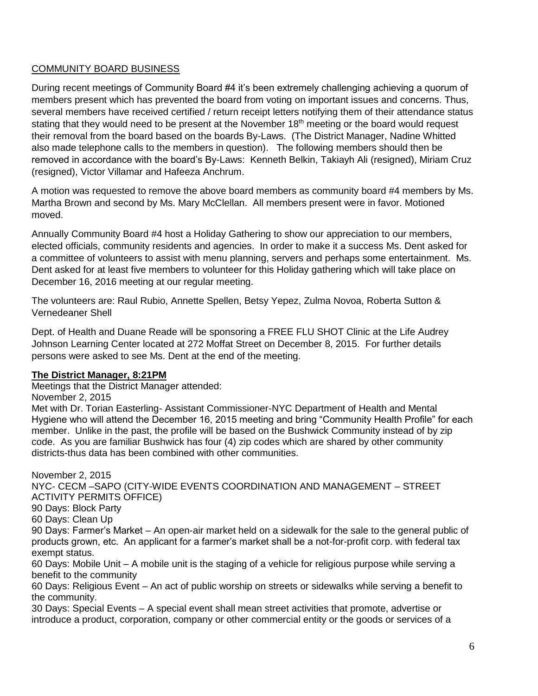### COMMUNITY BOARD BUSINESS

During recent meetings of Community Board #4 it's been extremely challenging achieving a quorum of members present which has prevented the board from voting on important issues and concerns. Thus, several members have received certified / return receipt letters notifying them of their attendance status stating that they would need to be present at the November 18<sup>th</sup> meeting or the board would request their removal from the board based on the boards By-Laws. (The District Manager, Nadine Whitted also made telephone calls to the members in question). The following members should then be removed in accordance with the board's By-Laws: Kenneth Belkin, Takiayh Ali (resigned), Miriam Cruz (resigned), Victor Villamar and Hafeeza Anchrum.

A motion was requested to remove the above board members as community board #4 members by Ms. Martha Brown and second by Ms. Mary McClellan. All members present were in favor. Motioned moved.

Annually Community Board #4 host a Holiday Gathering to show our appreciation to our members, elected officials, community residents and agencies. In order to make it a success Ms. Dent asked for a committee of volunteers to assist with menu planning, servers and perhaps some entertainment. Ms. Dent asked for at least five members to volunteer for this Holiday gathering which will take place on December 16, 2016 meeting at our regular meeting.

The volunteers are: Raul Rubio, Annette Spellen, Betsy Yepez, Zulma Novoa, Roberta Sutton & Vernedeaner Shell

Dept. of Health and Duane Reade will be sponsoring a FREE FLU SHOT Clinic at the Life Audrey Johnson Learning Center located at 272 Moffat Street on December 8, 2015. For further details persons were asked to see Ms. Dent at the end of the meeting.

### **The District Manager, 8:21PM**

Meetings that the District Manager attended:

November 2, 2015

Met with Dr. Torian Easterling- Assistant Commissioner-NYC Department of Health and Mental Hygiene who will attend the December 16, 2015 meeting and bring "Community Health Profile" for each member. Unlike in the past, the profile will be based on the Bushwick Community instead of by zip code. As you are familiar Bushwick has four (4) zip codes which are shared by other community districts-thus data has been combined with other communities.

November 2, 2015 NYC- CECM –SAPO (CITY-WIDE EVENTS COORDINATION AND MANAGEMENT – STREET ACTIVITY PERMITS OFFICE) 90 Days: Block Party 60 Days: Clean Up 90 Days: Farmer's Market – An open-air market held on a sidewalk for the sale to the general public of products grown, etc. An applicant for a farmer's market shall be a not-for-profit corp. with federal tax exempt status. 60 Days: Mobile Unit – A mobile unit is the staging of a vehicle for religious purpose while serving a benefit to the community 60 Days: Religious Event – An act of public worship on streets or sidewalks while serving a benefit to the community. 30 Days: Special Events – A special event shall mean street activities that promote, advertise or

introduce a product, corporation, company or other commercial entity or the goods or services of a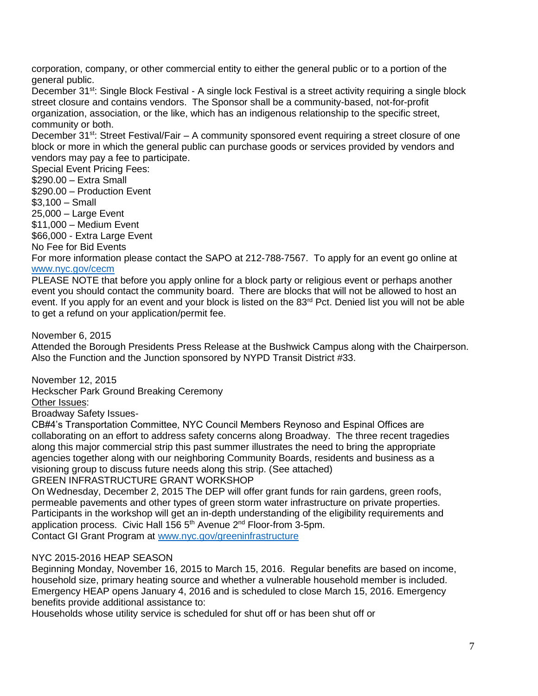corporation, company, or other commercial entity to either the general public or to a portion of the general public.

December 31<sup>st</sup>: Single Block Festival - A single lock Festival is a street activity requiring a single block street closure and contains vendors. The Sponsor shall be a community-based, not-for-profit organization, association, or the like, which has an indigenous relationship to the specific street, community or both.

December 31<sup>st</sup>: Street Festival/Fair – A community sponsored event requiring a street closure of one block or more in which the general public can purchase goods or services provided by vendors and vendors may pay a fee to participate.

Special Event Pricing Fees: \$290.00 – Extra Small \$290.00 – Production Event \$3,100 – Small 25,000 – Large Event \$11,000 – Medium Event \$66,000 - Extra Large Event No Fee for Bid Events For more information please contact the SAPO at 212-788-7567. To apply for an event go online at [www.nyc.gov/cecm](http://www.nyc.gov/cecm)

PLEASE NOTE that before you apply online for a block party or religious event or perhaps another event you should contact the community board. There are blocks that will not be allowed to host an event. If you apply for an event and your block is listed on the 83<sup>rd</sup> Pct. Denied list you will not be able to get a refund on your application/permit fee.

### November 6, 2015

Attended the Borough Presidents Press Release at the Bushwick Campus along with the Chairperson. Also the Function and the Junction sponsored by NYPD Transit District #33.

November 12, 2015 Heckscher Park Ground Breaking Ceremony Other Issues: Broadway Safety Issues-

CB#4's Transportation Committee, NYC Council Members Reynoso and Espinal Offices are collaborating on an effort to address safety concerns along Broadway. The three recent tragedies along this major commercial strip this past summer illustrates the need to bring the appropriate agencies together along with our neighboring Community Boards, residents and business as a visioning group to discuss future needs along this strip. (See attached) GREEN INFRASTRUCTURE GRANT WORKSHOP

On Wednesday, December 2, 2015 The DEP will offer grant funds for rain gardens, green roofs, permeable pavements and other types of green storm water infrastructure on private properties. Participants in the workshop will get an in-depth understanding of the eligibility requirements and application process. Civic Hall  $1565<sup>th</sup>$  Avenue  $2<sup>nd</sup>$  Floor-from 3-5pm. Contact GI Grant Program at [www.nyc.gov/greeninfrastructure](http://www.nyc.gov/greeninfrastructure)

### NYC 2015-2016 HEAP SEASON

Beginning Monday, November 16, 2015 to March 15, 2016. Regular benefits are based on income, household size, primary heating source and whether a vulnerable household member is included. Emergency HEAP opens January 4, 2016 and is scheduled to close March 15, 2016. Emergency benefits provide additional assistance to:

Households whose utility service is scheduled for shut off or has been shut off or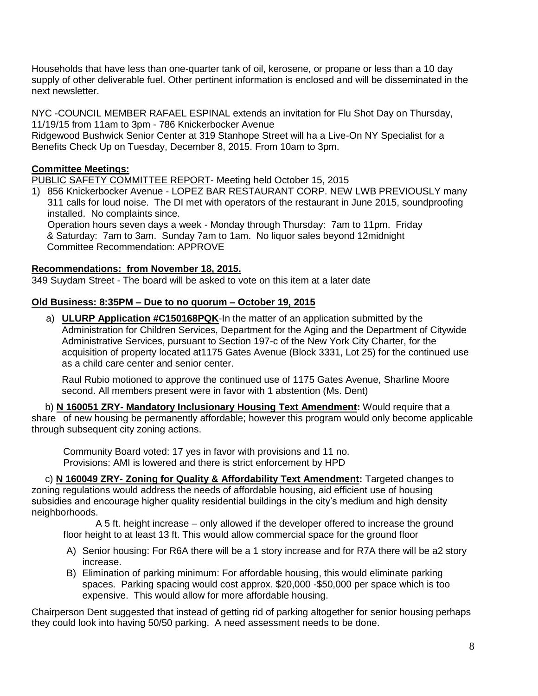Households that have less than one-quarter tank of oil, kerosene, or propane or less than a 10 day supply of other deliverable fuel. Other pertinent information is enclosed and will be disseminated in the next newsletter.

NYC -COUNCIL MEMBER RAFAEL ESPINAL extends an invitation for Flu Shot Day on Thursday, 11/19/15 from 11am to 3pm - 786 Knickerbocker Avenue

Ridgewood Bushwick Senior Center at 319 Stanhope Street will ha a Live-On NY Specialist for a Benefits Check Up on Tuesday, December 8, 2015. From 10am to 3pm.

### **Committee Meetings:**

PUBLIC SAFETY COMMITTEE REPORT- Meeting held October 15, 2015

1) 856 Knickerbocker Avenue - LOPEZ BAR RESTAURANT CORP. NEW LWB PREVIOUSLY many 311 calls for loud noise. The DI met with operators of the restaurant in June 2015, soundproofing installed. No complaints since. Operation hours seven days a week - Monday through Thursday: 7am to 11pm. Friday & Saturday: 7am to 3am. Sunday 7am to 1am. No liquor sales beyond 12midnight Committee Recommendation: APPROVE

#### **Recommendations: from November 18, 2015.**

349 Suydam Street - The board will be asked to vote on this item at a later date

### **Old Business: 8:35PM – Due to no quorum – October 19, 2015**

a) **ULURP Application #C150168PQK**-In the matter of an application submitted by the Administration for Children Services, Department for the Aging and the Department of Citywide Administrative Services, pursuant to Section 197-c of the New York City Charter, for the acquisition of property located at1175 Gates Avenue (Block 3331, Lot 25) for the continued use as a child care center and senior center.

Raul Rubio motioned to approve the continued use of 1175 Gates Avenue, Sharline Moore second. All members present were in favor with 1 abstention (Ms. Dent)

 b) **N 160051 ZRY- Mandatory Inclusionary Housing Text Amendment:** Would require that a share of new housing be permanently affordable; however this program would only become applicable through subsequent city zoning actions.

Community Board voted: 17 yes in favor with provisions and 11 no. Provisions: AMI is lowered and there is strict enforcement by HPD

 c) **N 160049 ZRY- Zoning for Quality & Affordability Text Amendment:** Targeted changes to zoning regulations would address the needs of affordable housing, aid efficient use of housing subsidies and encourage higher quality residential buildings in the city's medium and high density neighborhoods.

 A 5 ft. height increase – only allowed if the developer offered to increase the ground floor height to at least 13 ft. This would allow commercial space for the ground floor

- A) Senior housing: For R6A there will be a 1 story increase and for R7A there will be a2 story increase.
- B) Elimination of parking minimum: For affordable housing, this would eliminate parking spaces. Parking spacing would cost approx. \$20,000 -\$50,000 per space which is too expensive. This would allow for more affordable housing.

Chairperson Dent suggested that instead of getting rid of parking altogether for senior housing perhaps they could look into having 50/50 parking. A need assessment needs to be done.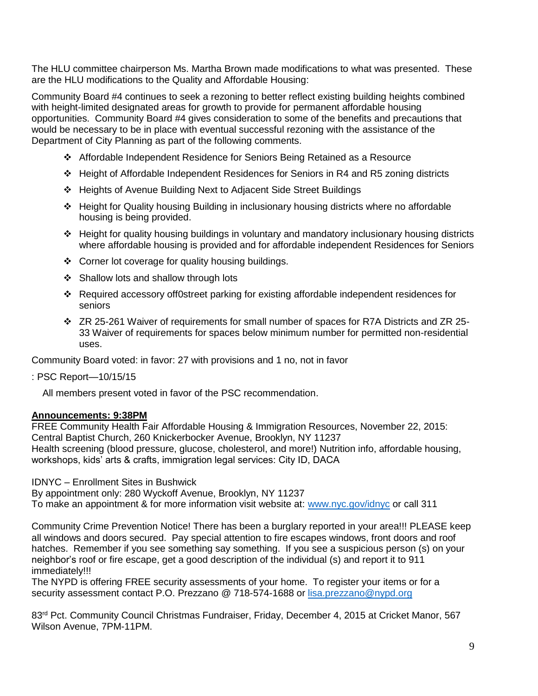The HLU committee chairperson Ms. Martha Brown made modifications to what was presented. These are the HLU modifications to the Quality and Affordable Housing:

Community Board #4 continues to seek a rezoning to better reflect existing building heights combined with height-limited designated areas for growth to provide for permanent affordable housing opportunities. Community Board #4 gives consideration to some of the benefits and precautions that would be necessary to be in place with eventual successful rezoning with the assistance of the Department of City Planning as part of the following comments.

- Affordable Independent Residence for Seniors Being Retained as a Resource
- $\div$  Height of Affordable Independent Residences for Seniors in R4 and R5 zoning districts
- Heights of Avenue Building Next to Adjacent Side Street Buildings
- Height for Quality housing Building in inclusionary housing districts where no affordable housing is being provided.
- $\div$  Height for quality housing buildings in voluntary and mandatory inclusionary housing districts where affordable housing is provided and for affordable independent Residences for Seniors
- ❖ Corner lot coverage for quality housing buildings.
- $\div$  Shallow lots and shallow through lots
- Required accessory off0street parking for existing affordable independent residences for seniors
- ZR 25-261 Waiver of requirements for small number of spaces for R7A Districts and ZR 25- 33 Waiver of requirements for spaces below minimum number for permitted non-residential uses.

Community Board voted: in favor: 27 with provisions and 1 no, not in favor

: PSC Report—10/15/15

All members present voted in favor of the PSC recommendation.

### **Announcements: 9:38PM**

FREE Community Health Fair Affordable Housing & Immigration Resources, November 22, 2015: Central Baptist Church, 260 Knickerbocker Avenue, Brooklyn, NY 11237 Health screening (blood pressure, glucose, cholesterol, and more!) Nutrition info, affordable housing, workshops, kids' arts & crafts, immigration legal services: City ID, DACA

IDNYC – Enrollment Sites in Bushwick

By appointment only: 280 Wyckoff Avenue, Brooklyn, NY 11237 To make an appointment & for more information visit website at: [www.nyc.gov/idnyc](http://www.nyc.gov/idnyc) or call 311

Community Crime Prevention Notice! There has been a burglary reported in your area!!! PLEASE keep all windows and doors secured. Pay special attention to fire escapes windows, front doors and roof hatches. Remember if you see something say something. If you see a suspicious person (s) on your neighbor's roof or fire escape, get a good description of the individual (s) and report it to 911 immediately!!!

The NYPD is offering FREE security assessments of your home. To register your items or for a security assessment contact P.O. Prezzano @ 718-574-1688 or [lisa.prezzano@nypd.org](mailto:lisa.prezzano@nypd.org) 

83<sup>rd</sup> Pct. Community Council Christmas Fundraiser, Friday, December 4, 2015 at Cricket Manor, 567 Wilson Avenue, 7PM-11PM.